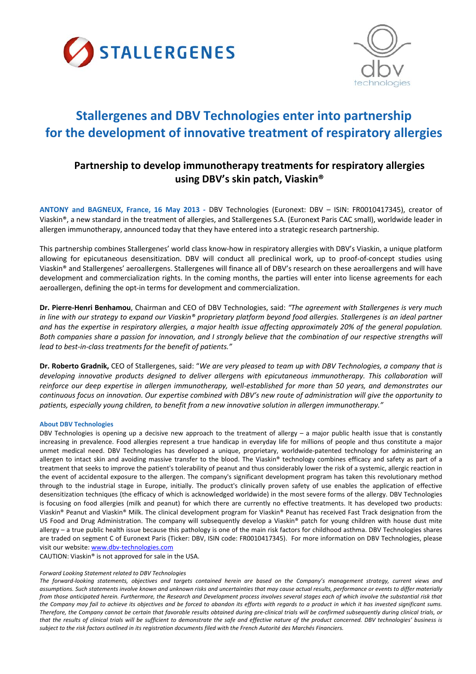



# **Stallergenes and DBV Technologies enter into partnership for the development of innovative treatment of respiratory allergies**

# **Partnership to develop immunotherapy treatments for respiratory allergies using DBV's skin patch, Viaskin®**

**ANTONY and BAGNEUX, France, 16 May 2013 ‐** DBV Technologies (Euronext: DBV – ISIN: FR0010417345), creator of Viaskin®, a new standard in the treatment of allergies, and Stallergenes S.A. (Euronext Paris CAC small), worldwide leader in allergen immunotherapy, announced today that they have entered into a strategic research partnership.

This partnership combines Stallergenes' world class know‐how in respiratory allergies with DBV's Viaskin, a unique platform allowing for epicutaneous desensitization. DBV will conduct all preclinical work, up to proof‐of‐concept studies using Viaskin® and Stallergenes' aeroallergens. Stallergenes will finance all of DBV's research on these aeroallergens and will have development and commercialization rights. In the coming months, the parties will enter into license agreements for each aeroallergen, defining the opt‐in terms for development and commercialization.

**Dr. Pierre‐Henri Benhamou**, Chairman and CEO of DBV Technologies, said: *"The agreement with Stallergenes is very much* in line with our strategy to expand our Viaskin® proprietary platform beyond food allergies. Stallergenes is an ideal partner and has the expertise in respiratory allergies, a major health issue affecting approximately 20% of the general population. Both companies share a passion for innovation, and I strongly believe that the combination of our respective strengths will *lead to best‐in‐class treatments for the benefit of patients."*

Dr. Roberto Gradnik, CEO of Stallergenes, said: "We are very pleased to team up with DBV Technologies, a company that is *developing innovative products designed to deliver allergens with epicutaneous immunotherapy. This collaboration will* reinforce our deep expertise in allergen immunotherapy, well-established for more than 50 years, and demonstrates our continuous focus on innovation. Our expertise combined with DBV's new route of administration will give the opportunity to *patients, especially young children, to benefit from a new innovative solution in allergen immunotherapy."*

## **About DBV Technologies**

DBV Technologies is opening up a decisive new approach to the treatment of allergy – a major public health issue that is constantly increasing in prevalence. Food allergies represent a true handicap in everyday life for millions of people and thus constitute a major unmet medical need. DBV Technologies has developed a unique, proprietary, worldwide‐patented technology for administering an allergen to intact skin and avoiding massive transfer to the blood. The Viaskin® technology combines efficacy and safety as part of a treatment that seeks to improve the patient's tolerability of peanut and thus considerably lower the risk of a systemic, allergic reaction in the event of accidental exposure to the allergen. The company's significant development program has taken this revolutionary method through to the industrial stage in Europe, initially. The product's clinically proven safety of use enables the application of effective desensitization techniques (the efficacy of which is acknowledged worldwide) in the most severe forms of the allergy. DBV Technologies is focusing on food allergies (milk and peanut) for which there are currently no effective treatments. It has developed two products: Viaskin® Peanut and Viaskin® Milk. The clinical development program for Viaskin® Peanut has received Fast Track designation from the US Food and Drug Administration. The company will subsequently develop a Viaskin® patch for young children with house dust mite allergy – a true public health issue because this pathology is one of the main risk factors for childhood asthma. DBV Technologies shares are traded on segment C of Euronext Paris (Ticker: DBV, ISIN code: FR0010417345). For more information on DBV Technologies, please visit our website: www.dbv-technologies.com

CAUTION: Viaskin® is not approved for sale in the USA.

#### *Forward Looking Statement related to DBV Technologies*

The forward-looking statements, objectives and targets contained herein are based on the Company's management strategy, current views and assumptions. Such statements involve known and unknown risks and uncertainties that may cause actual results, performance or events to differ materially from those anticipated herein. Furthermore, the Research and Development process involves several stages each of which involve the substantial risk that the Company may fail to achieve its obiectives and be forced to abandon its efforts with reaards to a product in which it has invested sianificant sums. Therefore, the Company cannot be certain that favorable results obtained during pre-clinical trials will be confirmed subsequently during clinical trials, or that the results of clinical trials will be sufficient to demonstrate the safe and effective nature of the product concerned. DBV technologies' business is subject to the risk factors outlined in its registration documents filed with the French Autorité des Marchés Financiers.